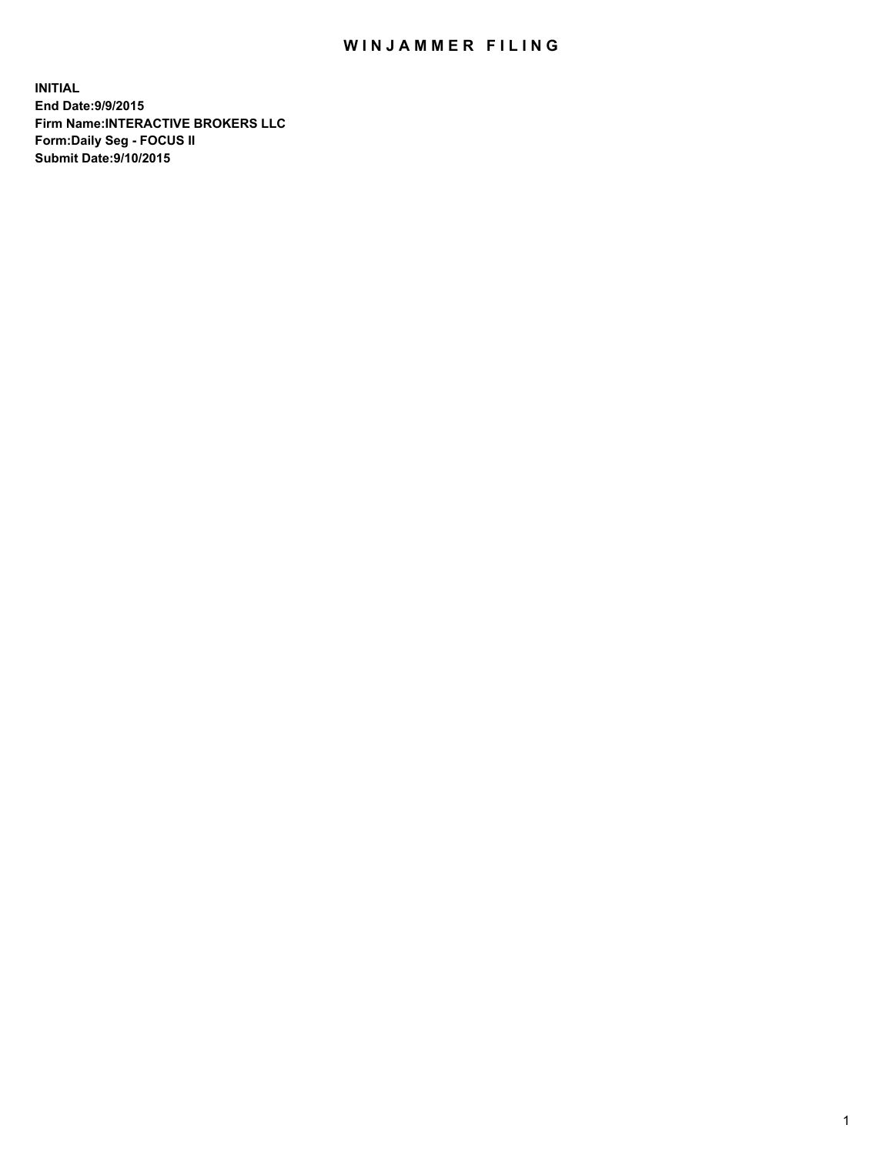## WIN JAMMER FILING

**INITIAL End Date:9/9/2015 Firm Name:INTERACTIVE BROKERS LLC Form:Daily Seg - FOCUS II Submit Date:9/10/2015**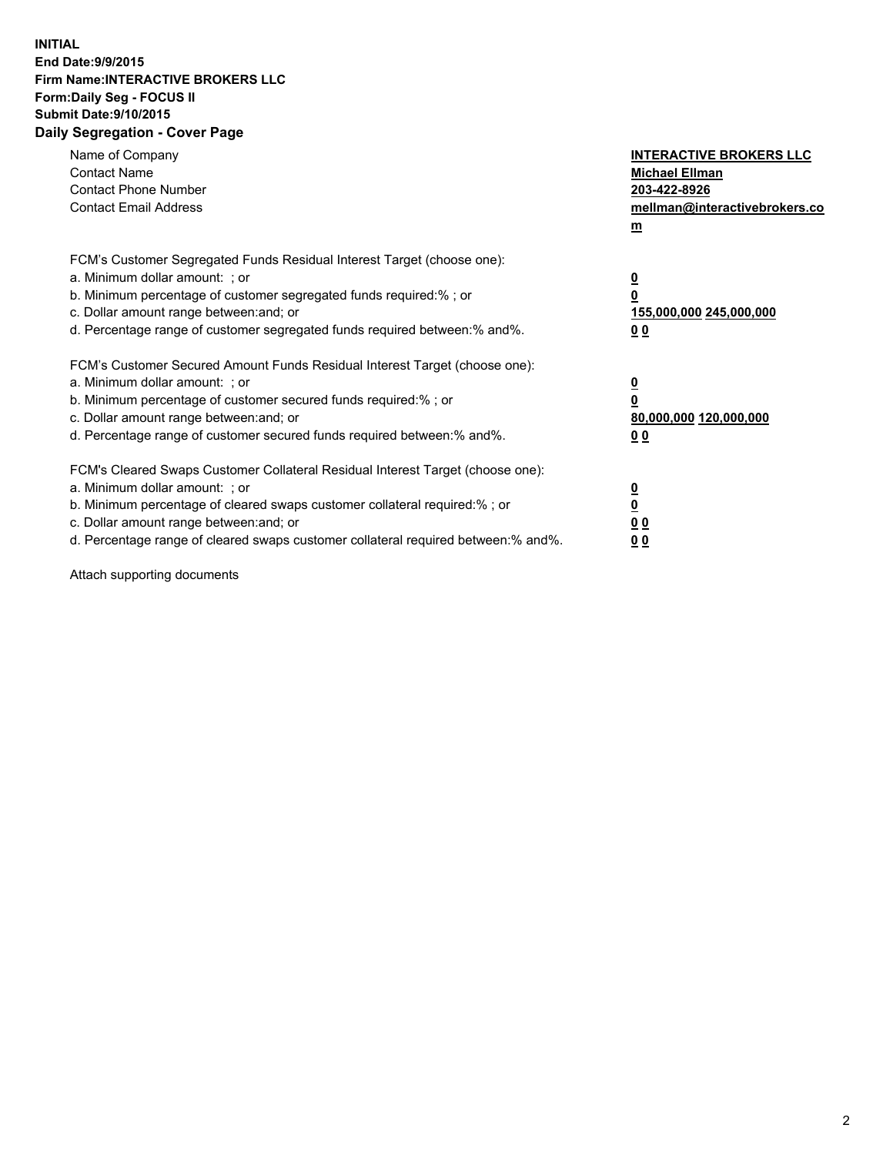## **INITIAL End Date:9/9/2015 Firm Name:INTERACTIVE BROKERS LLC Form:Daily Seg - FOCUS II Submit Date:9/10/2015 Daily Segregation - Cover Page**

| Name of Company<br><b>Contact Name</b><br><b>Contact Phone Number</b><br><b>Contact Email Address</b>                                                                                                                                                                                                                          | <b>INTERACTIVE BROKERS LLC</b><br><b>Michael Ellman</b><br>203-422-8926<br>mellman@interactivebrokers.co<br>$\mathbf{m}$ |
|--------------------------------------------------------------------------------------------------------------------------------------------------------------------------------------------------------------------------------------------------------------------------------------------------------------------------------|--------------------------------------------------------------------------------------------------------------------------|
| FCM's Customer Segregated Funds Residual Interest Target (choose one):<br>a. Minimum dollar amount: ; or<br>b. Minimum percentage of customer segregated funds required:% ; or<br>c. Dollar amount range between: and; or<br>d. Percentage range of customer segregated funds required between:% and%.                         | $\overline{\mathbf{0}}$<br>0<br>155,000,000 245,000,000<br>0 <sub>0</sub>                                                |
| FCM's Customer Secured Amount Funds Residual Interest Target (choose one):<br>a. Minimum dollar amount: ; or<br>b. Minimum percentage of customer secured funds required:%; or<br>c. Dollar amount range between: and; or<br>d. Percentage range of customer secured funds required between: % and %.                          | $\underline{\mathbf{0}}$<br>0<br>80,000,000 120,000,000<br>0 <sub>0</sub>                                                |
| FCM's Cleared Swaps Customer Collateral Residual Interest Target (choose one):<br>a. Minimum dollar amount: ; or<br>b. Minimum percentage of cleared swaps customer collateral required:% ; or<br>c. Dollar amount range between: and; or<br>d. Percentage range of cleared swaps customer collateral required between:% and%. | $\overline{\mathbf{0}}$<br>$\overline{\mathbf{0}}$<br>0 <sub>0</sub><br>0 <sup>0</sup>                                   |

Attach supporting documents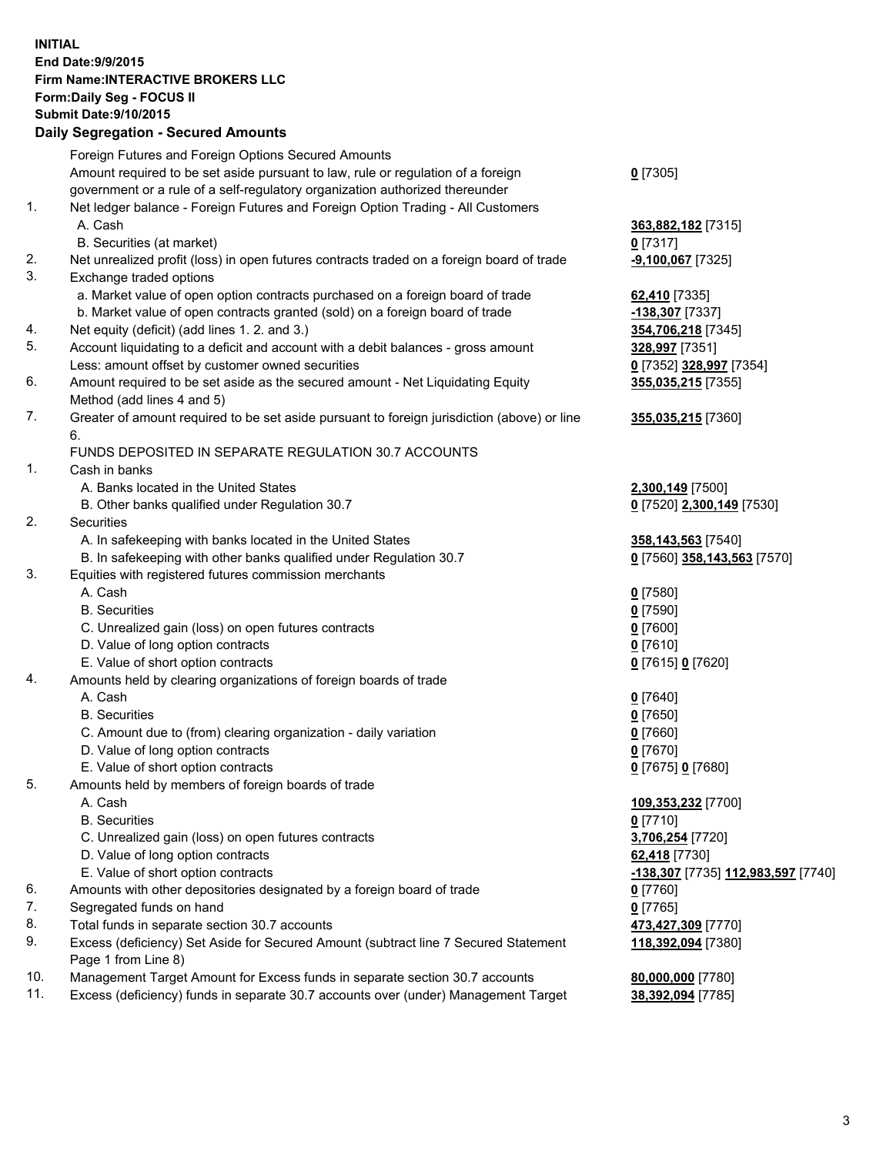## **INITIAL End Date:9/9/2015 Firm Name:INTERACTIVE BROKERS LLC Form:Daily Seg - FOCUS II Submit Date:9/10/2015 Daily Segregation - Secured Amounts**

|     | Foreign Futures and Foreign Options Secured Amounts                                         |                                    |
|-----|---------------------------------------------------------------------------------------------|------------------------------------|
|     | Amount required to be set aside pursuant to law, rule or regulation of a foreign            | $0$ [7305]                         |
|     | government or a rule of a self-regulatory organization authorized thereunder                |                                    |
| 1.  | Net ledger balance - Foreign Futures and Foreign Option Trading - All Customers             |                                    |
|     | A. Cash                                                                                     | 363,882,182 [7315]                 |
|     | B. Securities (at market)                                                                   | $0$ [7317]                         |
| 2.  | Net unrealized profit (loss) in open futures contracts traded on a foreign board of trade   | $-9,100,067$ [7325]                |
| 3.  | Exchange traded options                                                                     |                                    |
|     | a. Market value of open option contracts purchased on a foreign board of trade              | 62,410 [7335]                      |
|     | b. Market value of open contracts granted (sold) on a foreign board of trade                | -138,307 [7337]                    |
| 4.  | Net equity (deficit) (add lines 1. 2. and 3.)                                               | 354,706,218 [7345]                 |
| 5.  | Account liquidating to a deficit and account with a debit balances - gross amount           | 328,997 [7351]                     |
|     | Less: amount offset by customer owned securities                                            | 0 [7352] 328,997 [7354]            |
| 6.  | Amount required to be set aside as the secured amount - Net Liquidating Equity              | 355,035,215 [7355]                 |
|     | Method (add lines 4 and 5)                                                                  |                                    |
| 7.  | Greater of amount required to be set aside pursuant to foreign jurisdiction (above) or line | 355,035,215 [7360]                 |
|     | 6.                                                                                          |                                    |
|     | FUNDS DEPOSITED IN SEPARATE REGULATION 30.7 ACCOUNTS                                        |                                    |
| 1.  | Cash in banks                                                                               |                                    |
|     | A. Banks located in the United States                                                       | 2,300,149 [7500]                   |
|     | B. Other banks qualified under Regulation 30.7                                              | 0 [7520] 2,300,149 [7530]          |
| 2.  | Securities                                                                                  |                                    |
|     | A. In safekeeping with banks located in the United States                                   | 358,143,563 [7540]                 |
|     | B. In safekeeping with other banks qualified under Regulation 30.7                          | 0 [7560] 358,143,563 [7570]        |
| 3.  | Equities with registered futures commission merchants                                       |                                    |
|     | A. Cash                                                                                     | $0$ [7580]                         |
|     | <b>B.</b> Securities                                                                        | $0$ [7590]                         |
|     | C. Unrealized gain (loss) on open futures contracts                                         | $0$ [7600]                         |
|     | D. Value of long option contracts                                                           | $0$ [7610]                         |
|     | E. Value of short option contracts                                                          | 0 [7615] 0 [7620]                  |
| 4.  | Amounts held by clearing organizations of foreign boards of trade                           |                                    |
|     | A. Cash                                                                                     | $0$ [7640]                         |
|     | <b>B.</b> Securities                                                                        | $0$ [7650]                         |
|     | C. Amount due to (from) clearing organization - daily variation                             | $0$ [7660]                         |
|     | D. Value of long option contracts                                                           | $0$ [7670]                         |
|     | E. Value of short option contracts                                                          | 0 [7675] 0 [7680]                  |
| 5.  | Amounts held by members of foreign boards of trade                                          |                                    |
|     | A. Cash                                                                                     | 109,353,232 [7700]                 |
|     | <b>B.</b> Securities                                                                        | $0$ [7710]                         |
|     | C. Unrealized gain (loss) on open futures contracts                                         | 3,706,254 [7720]                   |
|     | D. Value of long option contracts                                                           | 62,418 [7730]                      |
|     | E. Value of short option contracts                                                          | -138,307 [7735] 112,983,597 [7740] |
| 6.  | Amounts with other depositories designated by a foreign board of trade                      | 0 [7760]                           |
| 7.  | Segregated funds on hand                                                                    | $0$ [7765]                         |
| 8.  | Total funds in separate section 30.7 accounts                                               | 473,427,309 [7770]                 |
| 9.  | Excess (deficiency) Set Aside for Secured Amount (subtract line 7 Secured Statement         | 118,392,094 [7380]                 |
|     | Page 1 from Line 8)                                                                         |                                    |
| 10. | Management Target Amount for Excess funds in separate section 30.7 accounts                 | 80,000,000 [7780]                  |
| 11. | Excess (deficiency) funds in separate 30.7 accounts over (under) Management Target          | 38,392,094 [7785]                  |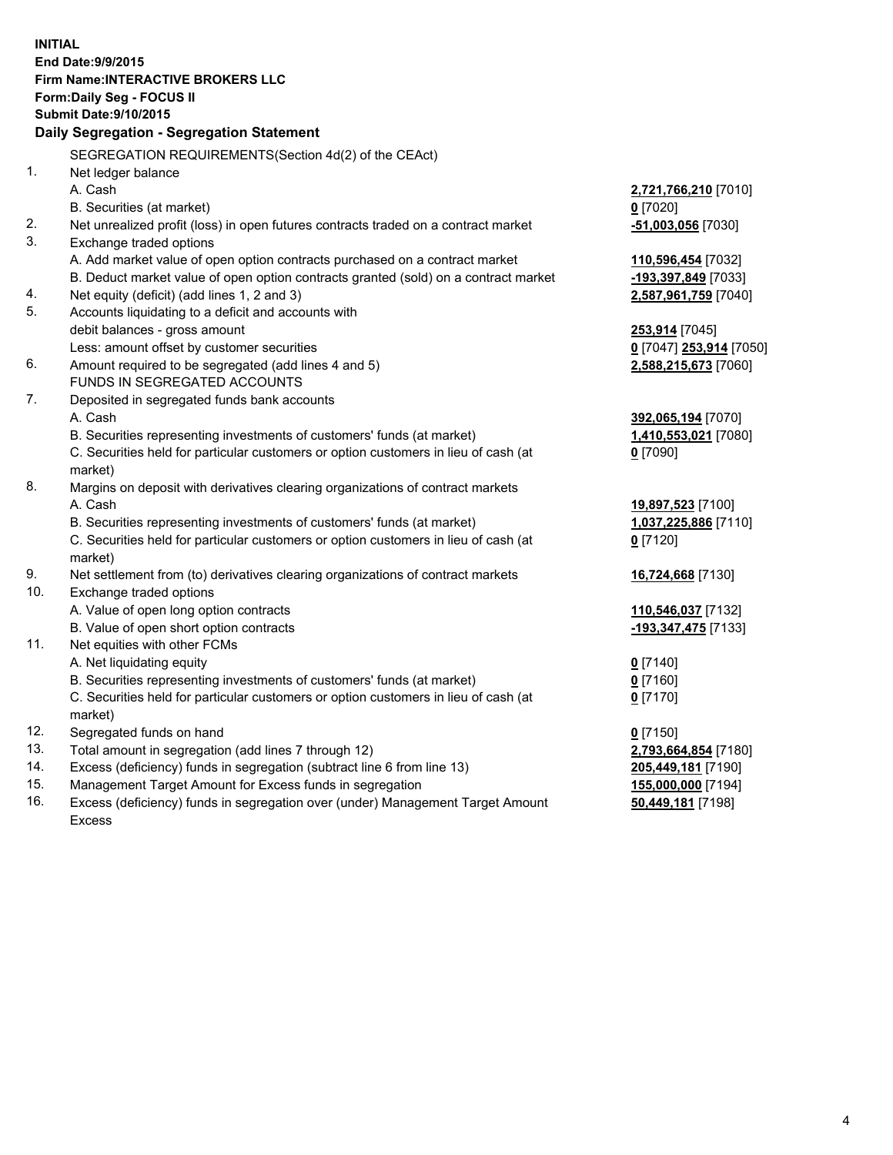**INITIAL End Date:9/9/2015 Firm Name:INTERACTIVE BROKERS LLC Form:Daily Seg - FOCUS II Submit Date:9/10/2015 Daily Segregation - Segregation Statement** SEGREGATION REQUIREMENTS(Section 4d(2) of the CEAct) 1. Net ledger balance A. Cash **2,721,766,210** [7010] B. Securities (at market) **0** [7020] 2. Net unrealized profit (loss) in open futures contracts traded on a contract market **-51,003,056** [7030] 3. Exchange traded options A. Add market value of open option contracts purchased on a contract market **110,596,454** [7032] B. Deduct market value of open option contracts granted (sold) on a contract market **-193,397,849** [7033] 4. Net equity (deficit) (add lines 1, 2 and 3) **2,587,961,759** [7040] 5. Accounts liquidating to a deficit and accounts with debit balances - gross amount **253,914** [7045] Less: amount offset by customer securities **0** [7047] **253,914** [7050] 6. Amount required to be segregated (add lines 4 and 5) **2,588,215,673** [7060] FUNDS IN SEGREGATED ACCOUNTS 7. Deposited in segregated funds bank accounts A. Cash **392,065,194** [7070] B. Securities representing investments of customers' funds (at market) **1,410,553,021** [7080] C. Securities held for particular customers or option customers in lieu of cash (at market) **0** [7090] 8. Margins on deposit with derivatives clearing organizations of contract markets A. Cash **19,897,523** [7100] B. Securities representing investments of customers' funds (at market) **1,037,225,886** [7110] C. Securities held for particular customers or option customers in lieu of cash (at market) **0** [7120] 9. Net settlement from (to) derivatives clearing organizations of contract markets **16,724,668** [7130] 10. Exchange traded options A. Value of open long option contracts **110,546,037** [7132] B. Value of open short option contracts **-193,347,475** [7133] 11. Net equities with other FCMs A. Net liquidating equity **0** [7140] B. Securities representing investments of customers' funds (at market) **0** [7160] C. Securities held for particular customers or option customers in lieu of cash (at market) **0** [7170] 12. Segregated funds on hand **0** [7150] 13. Total amount in segregation (add lines 7 through 12) **2,793,664,854** [7180] 14. Excess (deficiency) funds in segregation (subtract line 6 from line 13) **205,449,181** [7190] 15. Management Target Amount for Excess funds in segregation **155,000,000** [7194] **50,449,181** [7198]

16. Excess (deficiency) funds in segregation over (under) Management Target Amount Excess